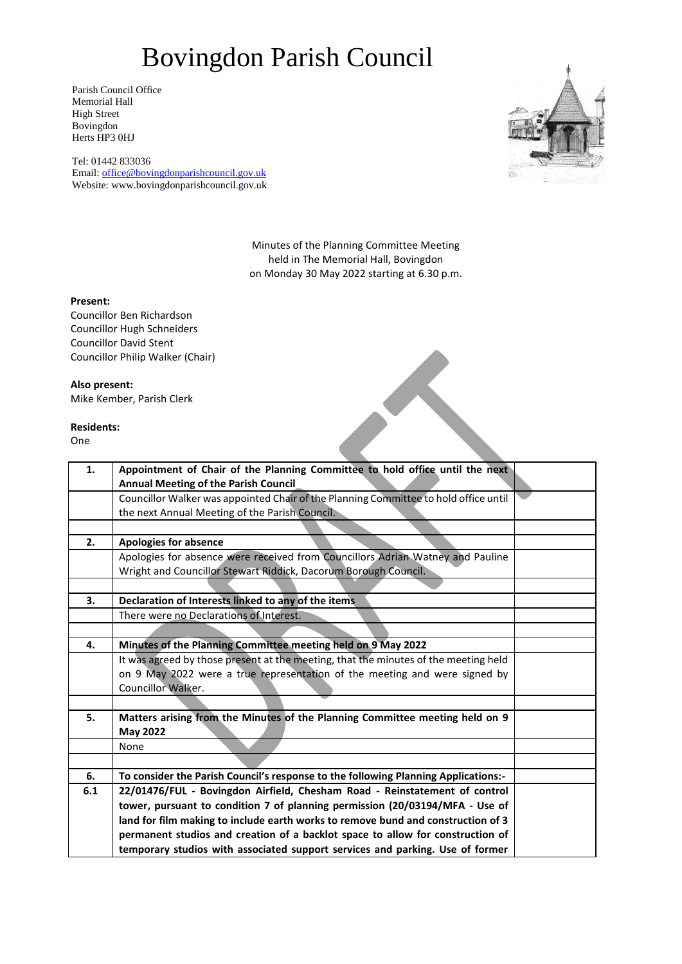## Bovingdon Parish Council

Parish Council Office Memorial Hall High Street Bovingdon Herts HP3 0HJ

Tel: 01442 833036 Email: [office@bovingdonparishcouncil.gov.uk](mailto:office@bovingdonparishcouncil.gov.uk) Website: www.bovingdonparishcouncil.gov.uk



Minutes of the Planning Committee Meeting held in The Memorial Hall, Bovingdon on Monday 30 May 2022 starting at 6.30 p.m.

### **Present:**

Councillor Ben Richardson Councillor Hugh Schneiders Councillor David Stent Councillor Philip Walker (Chair)

### **Also present:**

Mike Kember, Parish Clerk

#### **Residents:**

One

| 1.  | Appointment of Chair of the Planning Committee to hold office until the next         |  |
|-----|--------------------------------------------------------------------------------------|--|
|     | <b>Annual Meeting of the Parish Council</b>                                          |  |
|     | Councillor Walker was appointed Chair of the Planning Committee to hold office until |  |
|     | the next Annual Meeting of the Parish Council.                                       |  |
|     |                                                                                      |  |
| 2.  | <b>Apologies for absence</b>                                                         |  |
|     | Apologies for absence were received from Councillors Adrian Watney and Pauline       |  |
|     | Wright and Councillor Stewart Riddick, Dacorum Borough Council.                      |  |
|     |                                                                                      |  |
| 3.  | Declaration of Interests linked to any of the items                                  |  |
|     | There were no Declarations of Interest.                                              |  |
|     |                                                                                      |  |
| 4.  | Minutes of the Planning Committee meeting held on 9 May 2022                         |  |
|     | It was agreed by those present at the meeting, that the minutes of the meeting held  |  |
|     | on 9 May 2022 were a true representation of the meeting and were signed by           |  |
|     | Councillor Walker.                                                                   |  |
|     |                                                                                      |  |
| 5.  | Matters arising from the Minutes of the Planning Committee meeting held on 9         |  |
|     | <b>May 2022</b>                                                                      |  |
|     | None                                                                                 |  |
|     |                                                                                      |  |
| 6.  | To consider the Parish Council's response to the following Planning Applications:-   |  |
| 6.1 | 22/01476/FUL - Bovingdon Airfield, Chesham Road - Reinstatement of control           |  |
|     | tower, pursuant to condition 7 of planning permission (20/03194/MFA - Use of         |  |
|     | land for film making to include earth works to remove bund and construction of 3     |  |
|     | permanent studios and creation of a backlot space to allow for construction of       |  |
|     | temporary studios with associated support services and parking. Use of former        |  |
|     |                                                                                      |  |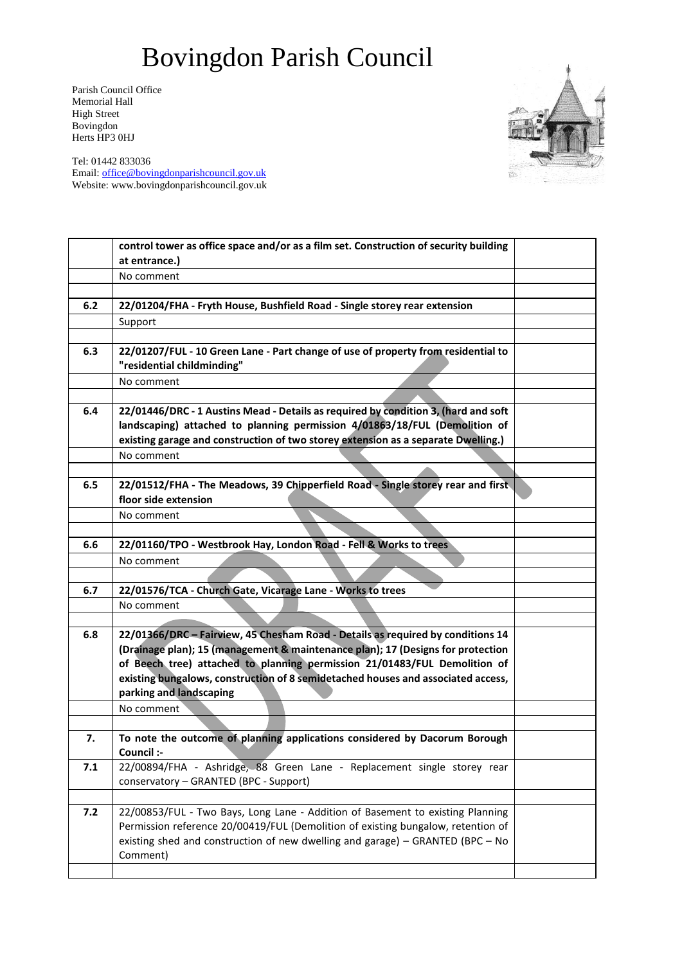# Bovingdon Parish Council

Parish Council Office Memorial Hall High Street Bovingdon Herts HP3 0HJ



Tel: 01442 833036 Email: [office@bovingdonparishcouncil.gov.uk](mailto:office@bovingdonparishcouncil.gov.uk) Website: www.bovingdonparishcouncil.gov.uk

|       | control tower as office space and/or as a film set. Construction of security building                           |  |
|-------|-----------------------------------------------------------------------------------------------------------------|--|
|       | at entrance.)                                                                                                   |  |
|       | No comment                                                                                                      |  |
|       |                                                                                                                 |  |
| 6.2   | 22/01204/FHA - Fryth House, Bushfield Road - Single storey rear extension                                       |  |
|       | Support                                                                                                         |  |
|       |                                                                                                                 |  |
| 6.3   | 22/01207/FUL - 10 Green Lane - Part change of use of property from residential to<br>"residential childminding" |  |
|       |                                                                                                                 |  |
|       | No comment                                                                                                      |  |
|       |                                                                                                                 |  |
| 6.4   | 22/01446/DRC - 1 Austins Mead - Details as required by condition 3, (hard and soft                              |  |
|       | landscaping) attached to planning permission 4/01863/18/FUL (Demolition of                                      |  |
|       | existing garage and construction of two storey extension as a separate Dwelling.)                               |  |
|       | No comment                                                                                                      |  |
| 6.5   | 22/01512/FHA - The Meadows, 39 Chipperfield Road - Single storey rear and first                                 |  |
|       | floor side extension                                                                                            |  |
|       | No comment                                                                                                      |  |
|       |                                                                                                                 |  |
| 6.6   | 22/01160/TPO - Westbrook Hay, London Road - Fell & Works to trees                                               |  |
|       | No comment                                                                                                      |  |
|       |                                                                                                                 |  |
| 6.7   | 22/01576/TCA - Church Gate, Vicarage Lane - Works to trees                                                      |  |
|       | No comment                                                                                                      |  |
|       |                                                                                                                 |  |
| 6.8   | 22/01366/DRC - Fairview, 45 Chesham Road - Details as required by conditions 14                                 |  |
|       | (Drainage plan); 15 (management & maintenance plan); 17 (Designs for protection                                 |  |
|       | of Beech tree) attached to planning permission 21/01483/FUL Demolition of                                       |  |
|       | existing bungalows, construction of 8 semidetached houses and associated access,                                |  |
|       | parking and landscaping                                                                                         |  |
|       | No comment                                                                                                      |  |
|       |                                                                                                                 |  |
| 7.    | To note the outcome of planning applications considered by Dacorum Borough                                      |  |
|       | Council :-                                                                                                      |  |
| 7.1   | 22/00894/FHA - Ashridge, 88 Green Lane - Replacement single storey rear                                         |  |
|       | conservatory - GRANTED (BPC - Support)                                                                          |  |
|       |                                                                                                                 |  |
| $7.2$ | 22/00853/FUL - Two Bays, Long Lane - Addition of Basement to existing Planning                                  |  |
|       | Permission reference 20/00419/FUL (Demolition of existing bungalow, retention of                                |  |
|       | existing shed and construction of new dwelling and garage) - GRANTED (BPC - No                                  |  |
|       | Comment)                                                                                                        |  |
|       |                                                                                                                 |  |